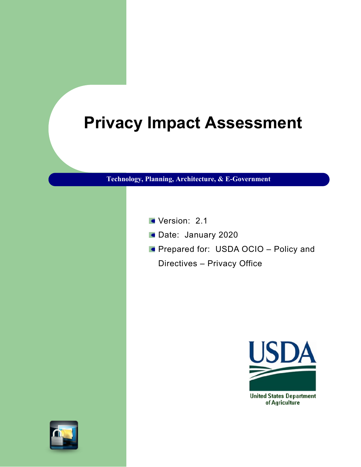# **Privacy Impact Assessment**

**Technology, Planning, Architecture, & E-Government**

- Version: 2.1
- Date: January 2020
- **Prepared for: USDA OCIO Policy and** 
	- Directives Privacy Office



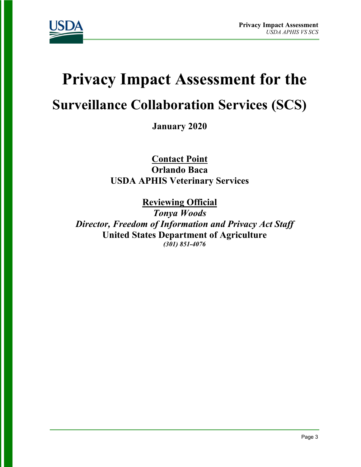

# **Privacy Impact Assessment for the**

# **Surveillance Collaboration Services (SCS)**

**January 2020**

**Contact Point Orlando Baca USDA APHIS Veterinary Services**

**Reviewing Official** 

*Tonya Woods Director, Freedom of Information and Privacy Act Staff* **United States Department of Agriculture** *(301) 851-4076*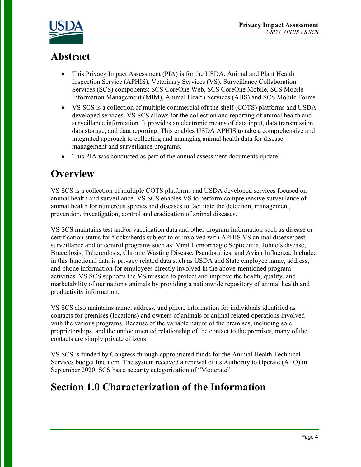

# **Abstract**

- This Privacy Impact Assessment (PIA) is for the USDA, Animal and Plant Health Inspection Service (APHIS), Veterinary Services (VS), Surveillance Collaboration Services (SCS) components: SCS CoreOne Web, SCS CoreOne Mobile, SCS Mobile Information Management (MIM), Animal Health Services (AHS) and SCS Mobile Forms.
- VS SCS is a collection of multiple commercial off the shelf (COTS) platforms and USDA developed services. VS SCS allows for the collection and reporting of animal health and surveillance information. It provides an electronic means of data input, data transmission, data storage, and data reporting. This enables USDA APHIS to take a comprehensive and integrated approach to collecting and managing animal health data for disease management and surveillance programs.
- This PIA was conducted as part of the annual assessment documents update.

# **Overview**

VS SCS is a collection of multiple COTS platforms and USDA developed services focused on animal health and surveillance. VS SCS enables VS to perform comprehensive surveillance of animal health for numerous species and diseases to facilitate the detection, management, prevention, investigation, control and eradication of animal diseases.

VS SCS maintains test and/or vaccination data and other program information such as disease or certification status for flocks/herds subject to or involved with APHIS VS animal disease/pest surveillance and or control programs such as: Viral Hemorrhagic Septicemia, Johne's disease, Brucellosis, Tuberculosis, Chronic Wasting Disease, Pseudorabies, and Avian Influenza. Included in this functional data is privacy related data such as USDA and State employee name, address, and phone information for employees directly involved in the above-mentioned program activities. VS SCS supports the VS mission to protect and improve the health, quality, and marketability of our nation's animals by providing a nationwide repository of animal health and productivity information.

VS SCS also maintains name, address, and phone information for individuals identified as contacts for premises (locations) and owners of animals or animal related operations involved with the various programs. Because of the variable nature of the premises, including sole proprietorships, and the undocumented relationship of the contact to the premises, many of the contacts are simply private citizens.

VS SCS is funded by Congress through appropriated funds for the Animal Health Technical Services budget line item. The system received a renewal of its Authority to Operate (ATO) in September 2020. SCS has a security categorization of "Moderate".

# **Section 1.0 Characterization of the Information**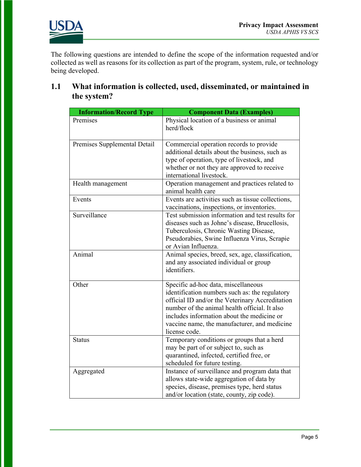



The following questions are intended to define the scope of the information requested and/or collected as well as reasons for its collection as part of the program, system, rule, or technology being developed.

#### **1.1 What information is collected, used, disseminated, or maintained in the system?**

| <b>Information/Record Type</b> | <b>Component Data (Examples)</b>                                                                                                                                                                                                                                                                         |
|--------------------------------|----------------------------------------------------------------------------------------------------------------------------------------------------------------------------------------------------------------------------------------------------------------------------------------------------------|
| Premises                       | Physical location of a business or animal<br>herd/flock                                                                                                                                                                                                                                                  |
| Premises Supplemental Detail   | Commercial operation records to provide<br>additional details about the business, such as<br>type of operation, type of livestock, and<br>whether or not they are approved to receive<br>international livestock.                                                                                        |
| Health management              | Operation management and practices related to<br>animal health care                                                                                                                                                                                                                                      |
| Events                         | Events are activities such as tissue collections,<br>vaccinations, inspections, or inventories.                                                                                                                                                                                                          |
| Surveillance                   | Test submission information and test results for<br>diseases such as Johne's disease, Brucellosis,<br>Tuberculosis, Chronic Wasting Disease,<br>Pseudorabies, Swine Influenza Virus, Scrapie<br>or Avian Influenza.                                                                                      |
| Animal                         | Animal species, breed, sex, age, classification,<br>and any associated individual or group<br>identifiers.                                                                                                                                                                                               |
| Other                          | Specific ad-hoc data, miscellaneous<br>identification numbers such as: the regulatory<br>official ID and/or the Veterinary Accreditation<br>number of the animal health official. It also<br>includes information about the medicine or<br>vaccine name, the manufacturer, and medicine<br>license code. |
| <b>Status</b>                  | Temporary conditions or groups that a herd<br>may be part of or subject to, such as<br>quarantined, infected, certified free, or<br>scheduled for future testing.                                                                                                                                        |
| Aggregated                     | Instance of surveillance and program data that<br>allows state-wide aggregation of data by<br>species, disease, premises type, herd status<br>and/or location (state, county, zip code).                                                                                                                 |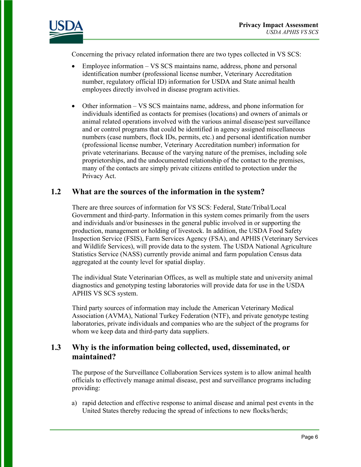

Concerning the privacy related information there are two types collected in VS SCS:

- Employee information VS SCS maintains name, address, phone and personal identification number (professional license number, Veterinary Accreditation number, regulatory official ID) information for USDA and State animal health employees directly involved in disease program activities.
- Other information VS SCS maintains name, address, and phone information for individuals identified as contacts for premises (locations) and owners of animals or animal related operations involved with the various animal disease/pest surveillance and or control programs that could be identified in agency assigned miscellaneous numbers (case numbers, flock IDs, permits, etc.) and personal identification number (professional license number, Veterinary Accreditation number) information for private veterinarians. Because of the varying nature of the premises, including sole proprietorships, and the undocumented relationship of the contact to the premises, many of the contacts are simply private citizens entitled to protection under the Privacy Act.

#### **1.2 What are the sources of the information in the system?**

There are three sources of information for VS SCS: Federal, State/Tribal/Local Government and third-party. Information in this system comes primarily from the users and individuals and/or businesses in the general public involved in or supporting the production, management or holding of livestock. In addition, the USDA Food Safety Inspection Service (FSIS), Farm Services Agency (FSA), and APHIS (Veterinary Services and Wildlife Services), will provide data to the system. The USDA National Agriculture Statistics Service (NASS) currently provide animal and farm population Census data aggregated at the county level for spatial display.

The individual State Veterinarian Offices, as well as multiple state and university animal diagnostics and genotyping testing laboratories will provide data for use in the USDA APHIS VS SCS system.

Third party sources of information may include the American Veterinary Medical Association (AVMA), National Turkey Federation (NTF), and private genotype testing laboratories, private individuals and companies who are the subject of the programs for whom we keep data and third-party data suppliers.

#### **1.3 Why is the information being collected, used, disseminated, or maintained?**

The purpose of the Surveillance Collaboration Services system is to allow animal health officials to effectively manage animal disease, pest and surveillance programs including providing:

a) rapid detection and effective response to animal disease and animal pest events in the United States thereby reducing the spread of infections to new flocks/herds;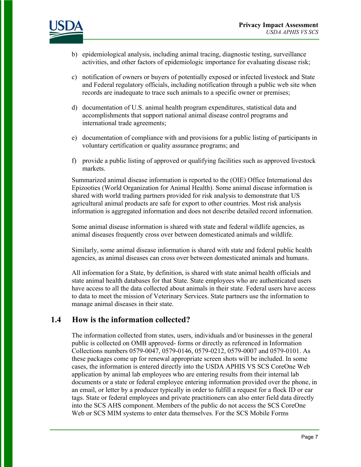

- b) epidemiological analysis, including animal tracing, diagnostic testing, surveillance activities, and other factors of epidemiologic importance for evaluating disease risk;
- c) notification of owners or buyers of potentially exposed or infected livestock and State and Federal regulatory officials, including notification through a public web site when records are inadequate to trace such animals to a specific owner or premises;
- d) documentation of U.S. animal health program expenditures, statistical data and accomplishments that support national animal disease control programs and international trade agreements;
- e) documentation of compliance with and provisions for a public listing of participants in voluntary certification or quality assurance programs; and
- f) provide a public listing of approved or qualifying facilities such as approved livestock markets.

Summarized animal disease information is reported to the (OIE) Office International des Epizooties (World Organization for Animal Health). Some animal disease information is shared with world trading partners provided for risk analysis to demonstrate that US agricultural animal products are safe for export to other countries. Most risk analysis information is aggregated information and does not describe detailed record information.

Some animal disease information is shared with state and federal wildlife agencies, as animal diseases frequently cross over between domesticated animals and wildlife.

Similarly, some animal disease information is shared with state and federal public health agencies, as animal diseases can cross over between domesticated animals and humans.

All information for a State, by definition, is shared with state animal health officials and state animal health databases for that State. State employees who are authenticated users have access to all the data collected about animals in their state. Federal users have access to data to meet the mission of Veterinary Services. State partners use the information to manage animal diseases in their state.

#### **1.4 How is the information collected?**

The information collected from states, users, individuals and/or businesses in the general public is collected on OMB approved- forms or directly as referenced in Information Collections numbers 0579-0047, 0579-0146, 0579-0212, 0579-0007 and 0579-0101. As these packages come up for renewal appropriate screen shots will be included. In some cases, the information is entered directly into the USDA APHIS VS SCS CoreOne Web application by animal lab employees who are entering results from their internal lab documents or a state or federal employee entering information provided over the phone, in an email, or letter by a producer typically in order to fulfill a request for a flock ID or ear tags. State or federal employees and private practitioners can also enter field data directly into the SCS AHS component. Members of the public do not access the SCS CoreOne Web or SCS MIM systems to enter data themselves. For the SCS Mobile Forms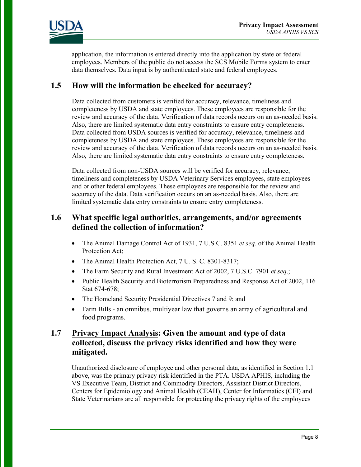

application, the information is entered directly into the application by state or federal employees. Members of the public do not access the SCS Mobile Forms system to enter data themselves. Data input is by authenticated state and federal employees.

#### **1.5 How will the information be checked for accuracy?**

Data collected from customers is verified for accuracy, relevance, timeliness and completeness by USDA and state employees. These employees are responsible for the review and accuracy of the data. Verification of data records occurs on an as-needed basis. Also, there are limited systematic data entry constraints to ensure entry completeness. Data collected from USDA sources is verified for accuracy, relevance, timeliness and completeness by USDA and state employees. These employees are responsible for the review and accuracy of the data. Verification of data records occurs on an as-needed basis. Also, there are limited systematic data entry constraints to ensure entry completeness.

Data collected from non-USDA sources will be verified for accuracy, relevance, timeliness and completeness by USDA Veterinary Services employees, state employees and or other federal employees. These employees are responsible for the review and accuracy of the data. Data verification occurs on an as-needed basis. Also, there are limited systematic data entry constraints to ensure entry completeness.

#### **1.6 What specific legal authorities, arrangements, and/or agreements defined the collection of information?**

- The Animal Damage Control Act of 1931, 7 U.S.C. 8351 *et seq*. of the Animal Health Protection Act;
- The Animal Health Protection Act, 7 U.S.C. 8301-8317;
- The Farm Security and Rural Investment Act of 2002, 7 U.S.C. 7901 *et seq*.;
- Public Health Security and Bioterrorism Preparedness and Response Act of 2002, 116 Stat 674-678;
- The Homeland Security Presidential Directives 7 and 9; and
- Farm Bills an omnibus, multiyear law that governs an array of agricultural and food programs.

#### **1.7 Privacy Impact Analysis: Given the amount and type of data collected, discuss the privacy risks identified and how they were mitigated.**

Unauthorized disclosure of employee and other personal data, as identified in Section 1.1 above, was the primary privacy risk identified in the PTA. USDA APHIS, including the VS Executive Team, District and Commodity Directors, Assistant District Directors, Centers for Epidemiology and Animal Health (CEAH), Center for Informatics (CFI) and State Veterinarians are all responsible for protecting the privacy rights of the employees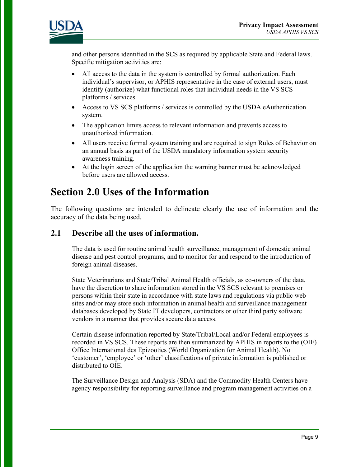

and other persons identified in the SCS as required by applicable State and Federal laws. Specific mitigation activities are:

- All access to the data in the system is controlled by formal authorization. Each individual's supervisor, or APHIS representative in the case of external users, must identify (authorize) what functional roles that individual needs in the VS SCS platforms / services.
- Access to VS SCS platforms / services is controlled by the USDA eAuthentication system.
- The application limits access to relevant information and prevents access to unauthorized information.
- All users receive formal system training and are required to sign Rules of Behavior on an annual basis as part of the USDA mandatory information system security awareness training.
- At the login screen of the application the warning banner must be acknowledged before users are allowed access.

## **Section 2.0 Uses of the Information**

The following questions are intended to delineate clearly the use of information and the accuracy of the data being used.

#### **2.1 Describe all the uses of information.**

The data is used for routine animal health surveillance, management of domestic animal disease and pest control programs, and to monitor for and respond to the introduction of foreign animal diseases.

State Veterinarians and State/Tribal Animal Health officials, as co-owners of the data, have the discretion to share information stored in the VS SCS relevant to premises or persons within their state in accordance with state laws and regulations via public web sites and/or may store such information in animal health and surveillance management databases developed by State IT developers, contractors or other third party software vendors in a manner that provides secure data access.

Certain disease information reported by State/Tribal/Local and/or Federal employees is recorded in VS SCS. These reports are then summarized by APHIS in reports to the (OIE) Office International des Epizooties (World Organization for Animal Health). No 'customer', 'employee' or 'other' classifications of private information is published or distributed to OIE.

The Surveillance Design and Analysis (SDA) and the Commodity Health Centers have agency responsibility for reporting surveillance and program management activities on a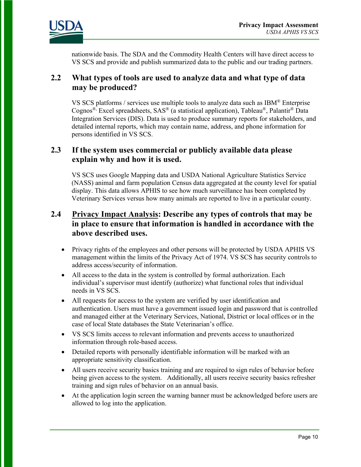

nationwide basis. The SDA and the Commodity Health Centers will have direct access to VS SCS and provide and publish summarized data to the public and our trading partners.

#### **2.2 What types of tools are used to analyze data and what type of data may be produced?**

VS SCS platforms / services use multiple tools to analyze data such as  $IBM^{\circledast}$  Enterprise Cognos<sup>®,</sup> Excel spreadsheets, SAS<sup>®</sup> (a statistical application), Tableau®, Palantir<sup>®</sup> Data Integration Services (DIS). Data is used to produce summary reports for stakeholders, and detailed internal reports, which may contain name, address, and phone information for persons identified in VS SCS.

#### **2.3 If the system uses commercial or publicly available data please explain why and how it is used.**

VS SCS uses Google Mapping data and USDA National Agriculture Statistics Service (NASS) animal and farm population Census data aggregated at the county level for spatial display. This data allows APHIS to see how much surveillance has been completed by Veterinary Services versus how many animals are reported to live in a particular county.

#### **2.4 Privacy Impact Analysis: Describe any types of controls that may be in place to ensure that information is handled in accordance with the above described uses.**

- Privacy rights of the employees and other persons will be protected by USDA APHIS VS management within the limits of the Privacy Act of 1974. VS SCS has security controls to address access/security of information.
- All access to the data in the system is controlled by formal authorization. Each individual's supervisor must identify (authorize) what functional roles that individual needs in VS SCS.
- All requests for access to the system are verified by user identification and authentication. Users must have a government issued login and password that is controlled and managed either at the Veterinary Services, National, District or local offices or in the case of local State databases the State Veterinarian's office.
- VS SCS limits access to relevant information and prevents access to unauthorized information through role-based access.
- Detailed reports with personally identifiable information will be marked with an appropriate sensitivity classification.
- All users receive security basics training and are required to sign rules of behavior before being given access to the system. Additionally, all users receive security basics refresher training and sign rules of behavior on an annual basis.
- At the application login screen the warning banner must be acknowledged before users are allowed to log into the application.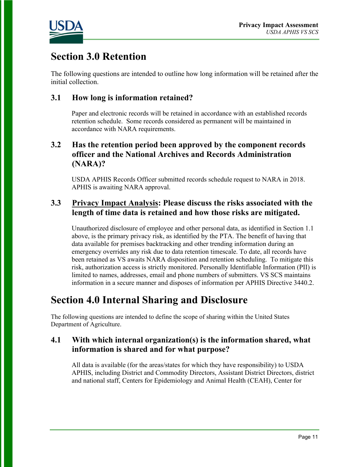

# **Section 3.0 Retention**

The following questions are intended to outline how long information will be retained after the initial collection.

#### **3.1 How long is information retained?**

Paper and electronic records will be retained in accordance with an established records retention schedule. Some records considered as permanent will be maintained in accordance with NARA requirements.

#### **3.2 Has the retention period been approved by the component records officer and the National Archives and Records Administration (NARA)?**

USDA APHIS Records Officer submitted records schedule request to NARA in 2018. APHIS is awaiting NARA approval.

#### **3.3 Privacy Impact Analysis: Please discuss the risks associated with the length of time data is retained and how those risks are mitigated.**

Unauthorized disclosure of employee and other personal data, as identified in Section 1.1 above, is the primary privacy risk, as identified by the PTA. The benefit of having that data available for premises backtracking and other trending information during an emergency overrides any risk due to data retention timescale. To date, all records have been retained as VS awaits NARA disposition and retention scheduling. To mitigate this risk, authorization access is strictly monitored. Personally Identifiable Information (PII) is limited to names, addresses, email and phone numbers of submitters. VS SCS maintains information in a secure manner and disposes of information per APHIS Directive 3440.2.

### **Section 4.0 Internal Sharing and Disclosure**

The following questions are intended to define the scope of sharing within the United States Department of Agriculture.

#### **4.1 With which internal organization(s) is the information shared, what information is shared and for what purpose?**

All data is available (for the areas/states for which they have responsibility) to USDA APHIS, including District and Commodity Directors, Assistant District Directors, district and national staff, Centers for Epidemiology and Animal Health (CEAH), Center for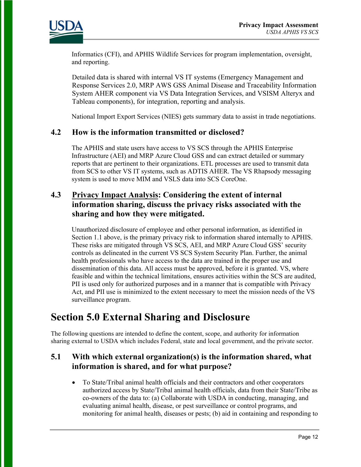

Informatics (CFI), and APHIS Wildlife Services for program implementation, oversight, and reporting.

Detailed data is shared with internal VS IT systems (Emergency Management and Response Services 2.0, MRP AWS GSS Animal Disease and Traceability Information System AHER component via VS Data Integration Services, and VSISM Alteryx and Tableau components), for integration, reporting and analysis.

National Import Export Services (NIES) gets summary data to assist in trade negotiations.

#### **4.2 How is the information transmitted or disclosed?**

The APHIS and state users have access to VS SCS through the APHIS Enterprise Infrastructure (AEI) and MRP Azure Cloud GSS and can extract detailed or summary reports that are pertinent to their organizations. ETL processes are used to transmit data from SCS to other VS IT systems, such as ADTIS AHER. The VS Rhapsody messaging system is used to move MIM and VSLS data into SCS CoreOne.

#### **4.3 Privacy Impact Analysis: Considering the extent of internal information sharing, discuss the privacy risks associated with the sharing and how they were mitigated.**

Unauthorized disclosure of employee and other personal information, as identified in Section 1.1 above, is the primary privacy risk to information shared internally to APHIS. These risks are mitigated through VS SCS, AEI, and MRP Azure Cloud GSS' security controls as delineated in the current VS SCS System Security Plan. Further, the animal health professionals who have access to the data are trained in the proper use and dissemination of this data. All access must be approved, before it is granted. VS, where feasible and within the technical limitations, ensures activities within the SCS are audited, PII is used only for authorized purposes and in a manner that is compatible with Privacy Act, and PII use is minimized to the extent necessary to meet the mission needs of the VS surveillance program.

### **Section 5.0 External Sharing and Disclosure**

The following questions are intended to define the content, scope, and authority for information sharing external to USDA which includes Federal, state and local government, and the private sector.

#### **5.1 With which external organization(s) is the information shared, what information is shared, and for what purpose?**

• To State/Tribal animal health officials and their contractors and other cooperators authorized access by State/Tribal animal health officials, data from their State/Tribe as co-owners of the data to: (a) Collaborate with USDA in conducting, managing, and evaluating animal health, disease, or pest surveillance or control programs, and monitoring for animal health, diseases or pests; (b) aid in containing and responding to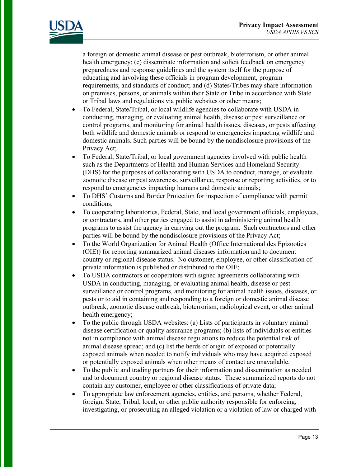

a foreign or domestic animal disease or pest outbreak, bioterrorism, or other animal health emergency; (c) disseminate information and solicit feedback on emergency preparedness and response guidelines and the system itself for the purpose of educating and involving these officials in program development, program requirements, and standards of conduct; and (d) States/Tribes may share information on premises, persons, or animals within their State or Tribe in accordance with State or Tribal laws and regulations via public websites or other means;

- To Federal, State/Tribal, or local wildlife agencies to collaborate with USDA in conducting, managing, or evaluating animal health, disease or pest surveillance or control programs, and monitoring for animal health issues, diseases, or pests affecting both wildlife and domestic animals or respond to emergencies impacting wildlife and domestic animals. Such parties will be bound by the nondisclosure provisions of the Privacy Act;
- To Federal, State/Tribal, or local government agencies involved with public health such as the Departments of Health and Human Services and Homeland Security (DHS) for the purposes of collaborating with USDA to conduct, manage, or evaluate zoonotic disease or pest awareness, surveillance, response or reporting activities, or to respond to emergencies impacting humans and domestic animals;
- To DHS' Customs and Border Protection for inspection of compliance with permit conditions;
- To cooperating laboratories, Federal, State, and local government officials, employees, or contractors, and other parties engaged to assist in administering animal health programs to assist the agency in carrying out the program. Such contractors and other parties will be bound by the nondisclosure provisions of the Privacy Act;
- To the World Organization for Animal Health (Office International des Epizooties (OIE)) for reporting summarized animal diseases information and to document country or regional disease status. No customer, employee, or other classification of private information is published or distributed to the OIE;
- To USDA contractors or cooperators with signed agreements collaborating with USDA in conducting, managing, or evaluating animal health, disease or pest surveillance or control programs, and monitoring for animal health issues, diseases, or pests or to aid in containing and responding to a foreign or domestic animal disease outbreak, zoonotic disease outbreak, bioterrorism, radiological event, or other animal health emergency;
- To the public through USDA websites: (a) Lists of participants in voluntary animal disease certification or quality assurance programs; (b) lists of individuals or entities not in compliance with animal disease regulations to reduce the potential risk of animal disease spread; and (c) list the herds of origin of exposed or potentially exposed animals when needed to notify individuals who may have acquired exposed or potentially exposed animals when other means of contact are unavailable.
- To the public and trading partners for their information and dissemination as needed and to document country or regional disease status. These summarized reports do not contain any customer, employee or other classifications of private data;
- To appropriate law enforcement agencies, entities, and persons, whether Federal, foreign, State, Tribal, local, or other public authority responsible for enforcing, investigating, or prosecuting an alleged violation or a violation of law or charged with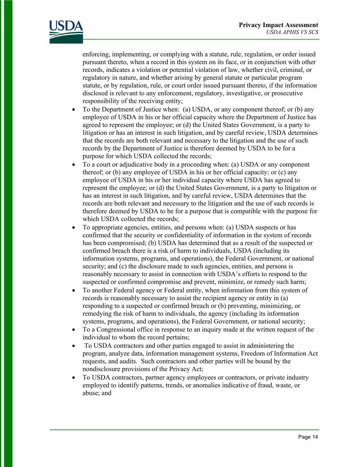

enforcing, implementing, or complying with a statute, rule, regulation, or order issued pursuant thereto, when a record in this system on its face, or in conjunction with other records, indicates a violation or potential violation of law, whether civil, criminal, or regulatory in nature, and whether arising by general statute or particular program statute, or by regulation, rule, or court order issued pursuant thereto, if the information disclosed is relevant to any enforcement, regulatory, investigative, or prosecutive responsibility of the receiving entity;

- To the Department of Justice when: (a) USDA, or any component thereof; or (b) any employee of USDA in his or her official capacity where the Department of Justice has agreed to represent the employee; or (d) the United States Government, is a party to litigation or has an interest in such litigation, and by careful review, USDA determines that the records are both relevant and necessary to the litigation and the use of such records by the Department of Justice is therefore deemed by USDA to be for a purpose for which USDA collected the records;
- To a court or adjudicative body in a proceeding when: (a) USDA or any component thereof; or (b) any employee of USDA in his or her official capacity; or (c) any employee of USDA in his or her individual capacity where USDA has agreed to represent the employee; or (d) the United States Government, is a party to litigation or has an interest in such litigation, and by careful review, USDA determines that the records are both relevant and necessary to the litigation and the use of such records is therefore deemed by USDA to be for a purpose that is compatible with the purpose for which USDA collected the records;
- To appropriate agencies, entities, and persons when: (a) USDA suspects or has confirmed that the security or confidentiality of information in the system of records has been compromised; (b) USDA has determined that as a result of the suspected or confirmed breach there is a risk of harm to individuals, USDA (including its information systems, programs, and operations), the Federal Government, or national security; and (c) the disclosure made to such agencies, entities, and persons is reasonably necessary to assist in connection with USDA's efforts to respond to the suspected or confirmed compromise and prevent, minimize, or remedy such harm;
- To another Federal agency or Federal entity, when information from this system of records is reasonably necessary to assist the recipient agency or entity in (a) responding to a suspected or confirmed breach or (b) preventing, minimizing, or remedying the risk of harm to individuals, the agency (including its information systems, programs, and operations), the Federal Government, or national security;
- To a Congressional office in response to an inquiry made at the written request of the individual to whom the record pertains;
- To USDA contractors and other parties engaged to assist in administering the program, analyze data, information management systems, Freedom of Information Act requests, and audits. Such contractors and other parties will be bound by the nondisclosure provisions of the Privacy Act;
- To USDA contractors, partner agency employees or contractors, or private industry employed to identify patterns, trends, or anomalies indicative of fraud, waste, or abuse; and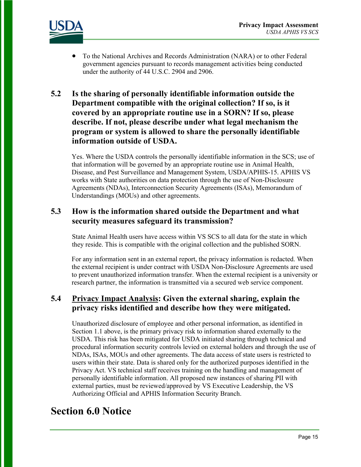

• To the National Archives and Records Administration (NARA) or to other Federal government agencies pursuant to records management activities being conducted under the authority of 44 U.S.C. 2904 and 2906.

#### **5.2 Is the sharing of personally identifiable information outside the Department compatible with the original collection? If so, is it covered by an appropriate routine use in a SORN? If so, please describe. If not, please describe under what legal mechanism the program or system is allowed to share the personally identifiable information outside of USDA.**

Yes. Where the USDA controls the personally identifiable information in the SCS; use of that information will be governed by an appropriate routine use in Animal Health, Disease, and Pest Surveillance and Management System, USDA/APHIS-15. APHIS VS works with State authorities on data protection through the use of Non-Disclosure Agreements (NDAs), Interconnection Security Agreements (ISAs), Memorandum of Understandings (MOUs) and other agreements.

#### **5.3 How is the information shared outside the Department and what security measures safeguard its transmission?**

State Animal Health users have access within VS SCS to all data for the state in which they reside. This is compatible with the original collection and the published SORN.

For any information sent in an external report, the privacy information is redacted. When the external recipient is under contract with USDA Non-Disclosure Agreements are used to prevent unauthorized information transfer. When the external recipient is a university or research partner, the information is transmitted via a secured web service component.

#### **5.4 Privacy Impact Analysis: Given the external sharing, explain the privacy risks identified and describe how they were mitigated.**

Unauthorized disclosure of employee and other personal information, as identified in Section 1.1 above, is the primary privacy risk to information shared externally to the USDA. This risk has been mitigated for USDA initiated sharing through technical and procedural information security controls levied on external holders and through the use of NDAs, ISAs, MOUs and other agreements. The data access of state users is restricted to users within their state. Data is shared only for the authorized purposes identified in the Privacy Act. VS technical staff receives training on the handling and management of personally identifiable information. All proposed new instances of sharing PII with external parties, must be reviewed/approved by VS Executive Leadership, the VS Authorizing Official and APHIS Information Security Branch.

## **Section 6.0 Notice**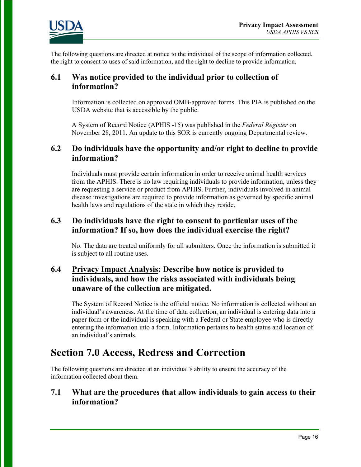

The following questions are directed at notice to the individual of the scope of information collected, the right to consent to uses of said information, and the right to decline to provide information.

#### **6.1 Was notice provided to the individual prior to collection of information?**

Information is collected on approved OMB-approved forms. This PIA is published on the USDA website that is accessible by the public.

A System of Record Notice (APHIS -15) was published in the *Federal Register* on November 28, 2011. An update to this SOR is currently ongoing Departmental review.

#### **6.2 Do individuals have the opportunity and/or right to decline to provide information?**

Individuals must provide certain information in order to receive animal health services from the APHIS. There is no law requiring individuals to provide information, unless they are requesting a service or product from APHIS. Further, individuals involved in animal disease investigations are required to provide information as governed by specific animal health laws and regulations of the state in which they reside.

#### **6.3 Do individuals have the right to consent to particular uses of the information? If so, how does the individual exercise the right?**

No. The data are treated uniformly for all submitters. Once the information is submitted it is subject to all routine uses.

#### **6.4 Privacy Impact Analysis: Describe how notice is provided to individuals, and how the risks associated with individuals being unaware of the collection are mitigated.**

The System of Record Notice is the official notice. No information is collected without an individual's awareness. At the time of data collection, an individual is entering data into a paper form or the individual is speaking with a Federal or State employee who is directly entering the information into a form. Information pertains to health status and location of an individual's animals.

### **Section 7.0 Access, Redress and Correction**

The following questions are directed at an individual's ability to ensure the accuracy of the information collected about them.

#### **7.1 What are the procedures that allow individuals to gain access to their information?**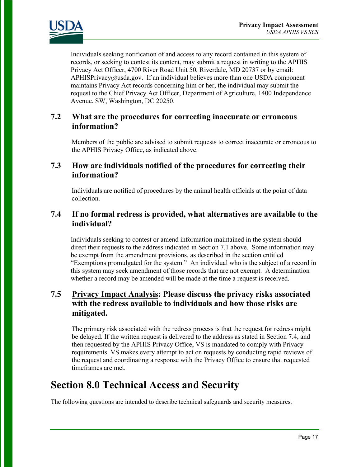

Individuals seeking notification of and access to any record contained in this system of records, or seeking to contest its content, may submit a request in writing to the APHIS Privacy Act Officer, 4700 River Road Unit 50, Riverdale, MD 20737 or by email: APHISPrivacy@usda.gov. If an individual believes more than one USDA component maintains Privacy Act records concerning him or her, the individual may submit the request to the Chief Privacy Act Officer, Department of Agriculture, 1400 Independence Avenue, SW, Washington, DC 20250.

#### **7.2 What are the procedures for correcting inaccurate or erroneous information?**

Members of the public are advised to submit requests to correct inaccurate or erroneous to the APHIS Privacy Office, as indicated above.

#### **7.3 How are individuals notified of the procedures for correcting their information?**

Individuals are notified of procedures by the animal health officials at the point of data collection.

#### **7.4 If no formal redress is provided, what alternatives are available to the individual?**

Individuals seeking to contest or amend information maintained in the system should direct their requests to the address indicated in Section 7.1 above. Some information may be exempt from the amendment provisions, as described in the section entitled "Exemptions promulgated for the system." An individual who is the subject of a record in this system may seek amendment of those records that are not exempt. A determination whether a record may be amended will be made at the time a request is received.

#### **7.5 Privacy Impact Analysis: Please discuss the privacy risks associated with the redress available to individuals and how those risks are mitigated.**

The primary risk associated with the redress process is that the request for redress might be delayed. If the written request is delivered to the address as stated in Section 7.4, and then requested by the APHIS Privacy Office, VS is mandated to comply with Privacy requirements. VS makes every attempt to act on requests by conducting rapid reviews of the request and coordinating a response with the Privacy Office to ensure that requested timeframes are met.

### **Section 8.0 Technical Access and Security**

The following questions are intended to describe technical safeguards and security measures.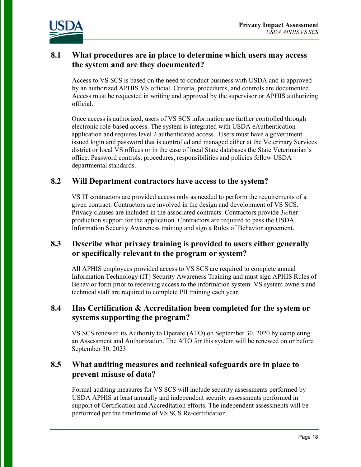

#### **8.1 What procedures are in place to determine which users may access the system and are they documented?**

Access to VS SCS is based on the need to conduct business with USDA and is approved by an authorized APHIS VS official. Criteria, procedures, and controls are documented. Access must be requested in writing and approved by the supervisor or APHIS authorizing official.

Once access is authorized, users of VS SCS information are further controlled through electronic role-based access. The system is integrated with USDA eAuthentication application and requires level 2 authenticated access. Users must have a government issued login and password that is controlled and managed either at the Veterinary Services district or local VS offices or in the case of local State databases the State Veterinarian's office. Password controls, procedures, responsibilities and policies follow USDA departmental standards.

#### **8.2 Will Department contractors have access to the system?**

VS IT contractors are provided access only as needed to perform the requirements of a given contract. Contractors are involved in the design and development of VS SCS. Privacy clauses are included in the associated contracts. Contractors provide 3rd tier production support for the application. Contractors are required to pass the USDA Information Security Awareness training and sign a Rules of Behavior agreement.

#### **8.3 Describe what privacy training is provided to users either generally or specifically relevant to the program or system?**

All APHIS employees provided access to VS SCS are required to complete annual Information Technology (IT) Security Awareness Training and must sign APHIS Rules of Behavior form prior to receiving access to the information system. VS system owners and technical staff are required to complete PII training each year.

#### **8.4 Has Certification & Accreditation been completed for the system or systems supporting the program?**

VS SCS renewed its Authority to Operate (ATO) on September 30, 2020 by completing an Assessment and Authorization. The ATO for this system will be renewed on or before September 30, 2023.

#### **8.5 What auditing measures and technical safeguards are in place to prevent misuse of data?**

Formal auditing measures for VS SCS will include security assessments performed by USDA APHIS at least annually and independent security assessments performed in support of Certification and Accreditation efforts. The independent assessments will be performed per the timeframe of VS SCS Re-certification.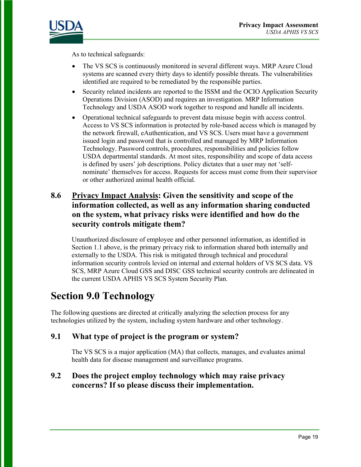

As to technical safeguards:

- The VS SCS is continuously monitored in several different ways. MRP Azure Cloud systems are scanned every thirty days to identify possible threats. The vulnerabilities identified are required to be remediated by the responsible parties.
- Security related incidents are reported to the ISSM and the OCIO Application Security Operations Division (ASOD) and requires an investigation. MRP Information Technology and USDA ASOD work together to respond and handle all incidents.
- Operational technical safeguards to prevent data misuse begin with access control. Access to VS SCS information is protected by role-based access which is managed by the network firewall, eAuthentication, and VS SCS. Users must have a government issued login and password that is controlled and managed by MRP Information Technology. Password controls, procedures, responsibilities and policies follow USDA departmental standards. At most sites, responsibility and scope of data access is defined by users' job descriptions. Policy dictates that a user may not 'selfnominate' themselves for access. Requests for access must come from their supervisor or other authorized animal health official.

#### **8.6 Privacy Impact Analysis: Given the sensitivity and scope of the information collected, as well as any information sharing conducted on the system, what privacy risks were identified and how do the security controls mitigate them?**

Unauthorized disclosure of employee and other personnel information, as identified in Section 1.1 above, is the primary privacy risk to information shared both internally and externally to the USDA. This risk is mitigated through technical and procedural information security controls levied on internal and external holders of VS SCS data. VS SCS, MRP Azure Cloud GSS and DISC GSS technical security controls are delineated in the current USDA APHIS VS SCS System Security Plan.

## **Section 9.0 Technology**

The following questions are directed at critically analyzing the selection process for any technologies utilized by the system, including system hardware and other technology.

#### **9.1 What type of project is the program or system?**

The VS SCS is a major application (MA) that collects, manages, and evaluates animal health data for disease management and surveillance programs.

#### **9.2 Does the project employ technology which may raise privacy concerns? If so please discuss their implementation.**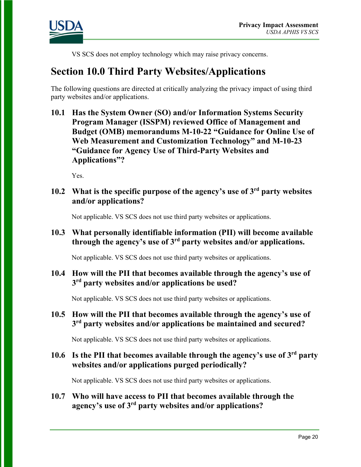

VS SCS does not employ technology which may raise privacy concerns.

### **Section 10.0 Third Party Websites/Applications**

The following questions are directed at critically analyzing the privacy impact of using third party websites and/or applications.

**10.1 Has the System Owner (SO) and/or Information Systems Security Program Manager (ISSPM) reviewed Office of Management and Budget (OMB) memorandums M-10-22 "Guidance for Online Use of Web Measurement and Customization Technology" and M-10-23 "Guidance for Agency Use of Third-Party Websites and Applications"?**

Yes.

#### **10.2 What is the specific purpose of the agency's use of 3rd party websites and/or applications?**

Not applicable. VS SCS does not use third party websites or applications.

#### **10.3 What personally identifiable information (PII) will become available through the agency's use of 3rd party websites and/or applications.**

Not applicable. VS SCS does not use third party websites or applications.

#### **10.4 How will the PII that becomes available through the agency's use of 3rd party websites and/or applications be used?**

Not applicable. VS SCS does not use third party websites or applications.

#### **10.5 How will the PII that becomes available through the agency's use of 3rd party websites and/or applications be maintained and secured?**

Not applicable. VS SCS does not use third party websites or applications.

#### **10.6 Is the PII that becomes available through the agency's use of 3rd party websites and/or applications purged periodically?**

Not applicable. VS SCS does not use third party websites or applications.

#### **10.7 Who will have access to PII that becomes available through the agency's use of 3rd party websites and/or applications?**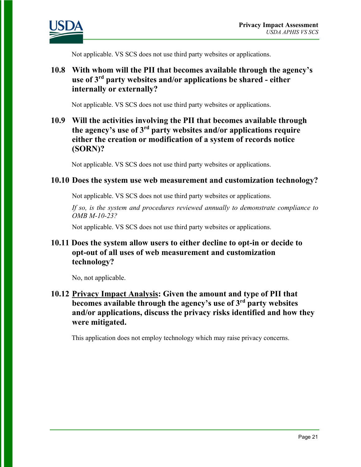

Not applicable. VS SCS does not use third party websites or applications.

#### **10.8 With whom will the PII that becomes available through the agency's use of 3rd party websites and/or applications be shared - either internally or externally?**

Not applicable. VS SCS does not use third party websites or applications.

#### **10.9 Will the activities involving the PII that becomes available through the agency's use of 3rd party websites and/or applications require either the creation or modification of a system of records notice (SORN)?**

Not applicable. VS SCS does not use third party websites or applications.

#### **10.10 Does the system use web measurement and customization technology?**

Not applicable. VS SCS does not use third party websites or applications.

*If so, is the system and procedures reviewed annually to demonstrate compliance to OMB M-10-23?*

Not applicable. VS SCS does not use third party websites or applications.

#### **10.11 Does the system allow users to either decline to opt-in or decide to opt-out of all uses of web measurement and customization technology?**

No, not applicable.

#### **10.12 Privacy Impact Analysis: Given the amount and type of PII that becomes available through the agency's use of 3rd party websites and/or applications, discuss the privacy risks identified and how they were mitigated.**

This application does not employ technology which may raise privacy concerns.